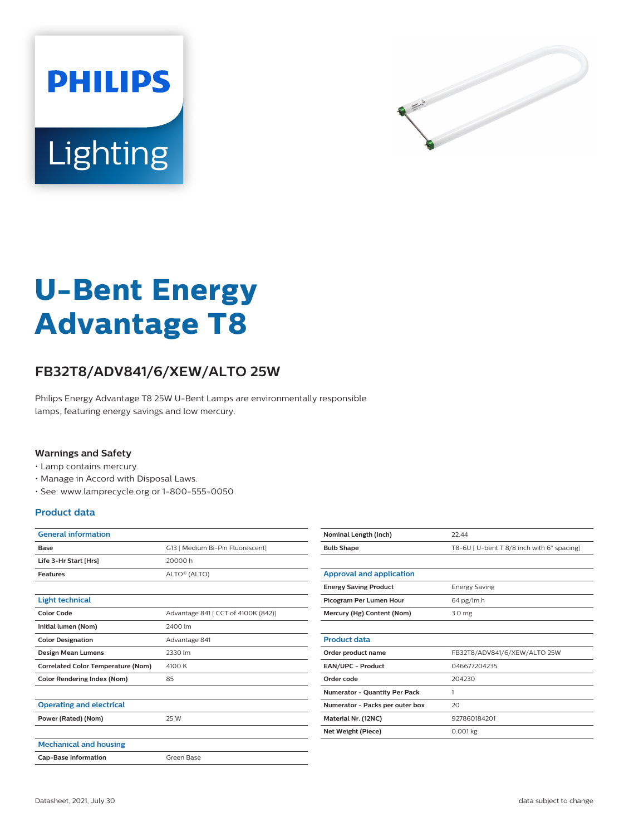



# **U-Bent Energy Advantage T8**

## **FB32T8/ADV841/6/XEW/ALTO 25W**

Philips Energy Advantage T8 25W U-Bent Lamps are environmentally responsible lamps, featuring energy savings and low mercury.

#### **Warnings and Safety**

- Lamp contains mercury.
- Manage in Accord with Disposal Laws.
- See: www.lamprecycle.org or 1-800-555-0050

#### **Product data**

| <b>General information</b>                |                                     |
|-------------------------------------------|-------------------------------------|
| Base                                      | G13   Medium Bi-Pin Fluorescent]    |
| Life 3-Hr Start [Hrs]                     | 20000 h                             |
| <b>Features</b>                           | ALTO® (ALTO)                        |
|                                           |                                     |
| <b>Light technical</b>                    |                                     |
| <b>Color Code</b>                         | Advantage 841 [ CCT of 4100K (842)] |
| Initial lumen (Nom)                       | 2400 lm                             |
| <b>Color Designation</b>                  | Advantage 841                       |
| <b>Design Mean Lumens</b>                 | 2330 lm                             |
| <b>Correlated Color Temperature (Nom)</b> | 4100 K                              |
| Color Rendering Index (Nom)               | 85                                  |
|                                           |                                     |
| <b>Operating and electrical</b>           |                                     |
| Power (Rated) (Nom)                       | 25 W                                |
|                                           |                                     |
| <b>Mechanical and housing</b>             |                                     |
| <b>Cap-Base Information</b>               | Green Base                          |

| Nominal Length (Inch)                | 22.44                                      |
|--------------------------------------|--------------------------------------------|
| <b>Bulb Shape</b>                    | T8-6U   U-bent T 8/8 inch with 6" spacing] |
|                                      |                                            |
| <b>Approval and application</b>      |                                            |
| <b>Energy Saving Product</b>         | <b>Energy Saving</b>                       |
| Picogram Per Lumen Hour              | 64 pg/lm.h                                 |
| Mercury (Hg) Content (Nom)           | 3.0 <sub>mg</sub>                          |
|                                      |                                            |
| <b>Product data</b>                  |                                            |
| Order product name                   | FB32T8/ADV841/6/XEW/ALTO 25W               |
| EAN/UPC - Product                    | 046677204235                               |
| Order code                           | 204230                                     |
| <b>Numerator - Quantity Per Pack</b> | 1                                          |
| Numerator - Packs per outer box      | 20                                         |
| Material Nr. (12NC)                  | 927860184201                               |
| Net Weight (Piece)                   | $0.001$ kg                                 |
|                                      |                                            |